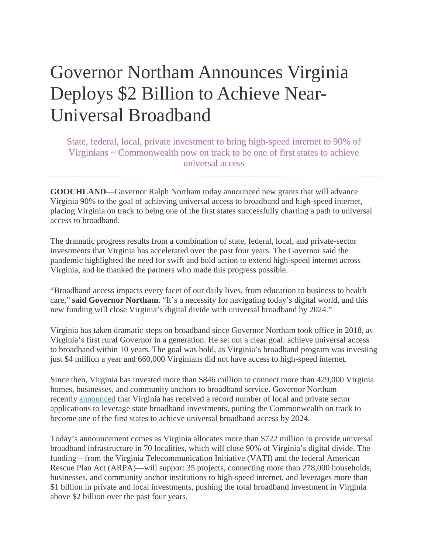# Governor Northam Announces Virginia Deploys \$2 Billion to Achieve Near-Universal Broadband

State, federal, local, private investment to bring high-speed internet to 90% of Virginians ~ Commonwealth now on track to be one of first states to achieve universal access

**GOOCHLAND**—Governor Ralph Northam today announced new grants that will advance Virginia 90% to the goal of achieving universal access to broadband and high-speed internet, placing Virginia on track to being one of the first states successfully charting a path to universal access to broadband.

The dramatic progress results from a combination of state, federal, local, and private-sector investments that Virginia has accelerated over the past four years. The Governor said the pandemic highlighted the need for swift and bold action to extend high-speed internet across Virginia, and he thanked the partners who made this progress possible.

"Broadband access impacts every facet of our daily lives, from education to business to health care," **said Governor Northam**. "It's a necessity for navigating today's digital world, and this new funding will close Virginia's digital divide with universal broadband by 2024."

Virginia has taken dramatic steps on broadband since Governor Northam took office in 2018, as Virginia's first rural Governor in a generation. He set out a clear goal: achieve universal access to broadband within 10 years. The goal was bold, as Virginia's broadband program was investing just \$4 million a year and 660,000 Virginians did not have access to high-speed internet.

Since then, Virginia has invested more than \$846 million to connect more than 429,000 Virginia homes, businesses, and community anchors to broadband service. Governor Northam recently [announced](https://www.governor.virginia.gov/newsroom/all-releases/2021/october/headline-910054-en.html) that Virginia has received a record number of local and private sector applications to leverage state broadband investments, putting the Commonwealth on track to become one of the first states to achieve universal broadband access by 2024.

Today's announcement comes as Virginia allocates more than \$722 million to provide universal broadband infrastructure in 70 localities, which will close 90% of Virginia's digital divide. The funding—from the Virginia Telecommunication Initiative (VATI) and the federal American Rescue Plan Act (ARPA)—will support 35 projects, connecting more than 278,000 households, businesses, and community anchor institutions to high-speed internet, and leverages more than \$1 billion in private and local investments, pushing the total broadband investment in Virginia above \$2 billion over the past four years.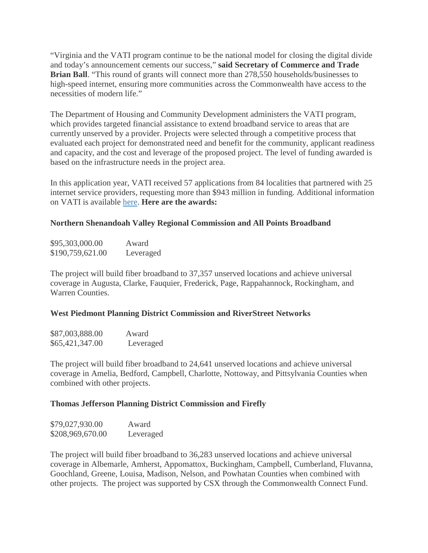"Virginia and the VATI program continue to be the national model for closing the digital divide and today's announcement cements our success," **said Secretary of Commerce and Trade Brian Ball.** "This round of grants will connect more than 278,550 households/businesses to high-speed internet, ensuring more communities across the Commonwealth have access to the necessities of modern life."

The Department of Housing and Community Development administers the VATI program, which provides targeted financial assistance to extend broadband service to areas that are currently unserved by a provider. Projects were selected through a competitive process that evaluated each project for demonstrated need and benefit for the community, applicant readiness and capacity, and the cost and leverage of the proposed project. The level of funding awarded is based on the infrastructure needs in the project area.

In this application year, VATI received 57 applications from 84 localities that partnered with 25 internet service providers, requesting more than \$943 million in funding. Additional information on VATI is available [here.](https://www.dhcd.virginia.gov/vati) **Here are the awards:**

# **Northern Shenandoah Valley Regional Commission and All Points Broadband**

| \$95,303,000.00  | Award     |
|------------------|-----------|
| \$190,759,621.00 | Leveraged |

The project will build fiber broadband to 37,357 unserved locations and achieve universal coverage in Augusta, Clarke, Fauquier, Frederick, Page, Rappahannock, Rockingham, and Warren Counties.

# **West Piedmont Planning District Commission and RiverStreet Networks**

| \$87,003,888.00 | Award     |
|-----------------|-----------|
| \$65,421,347.00 | Leveraged |

The project will build fiber broadband to 24,641 unserved locations and achieve universal coverage in Amelia, Bedford, Campbell, Charlotte, Nottoway, and Pittsylvania Counties when combined with other projects.

# **Thomas Jefferson Planning District Commission and Firefly**

| \$79,027,930.00  | Award     |
|------------------|-----------|
| \$208,969,670.00 | Leveraged |

The project will build fiber broadband to 36,283 unserved locations and achieve universal coverage in Albemarle, Amherst, Appomattox, Buckingham, Campbell, Cumberland, Fluvanna, Goochland, Greene, Louisa, Madison, Nelson, and Powhatan Counties when combined with other projects. The project was supported by CSX through the Commonwealth Connect Fund.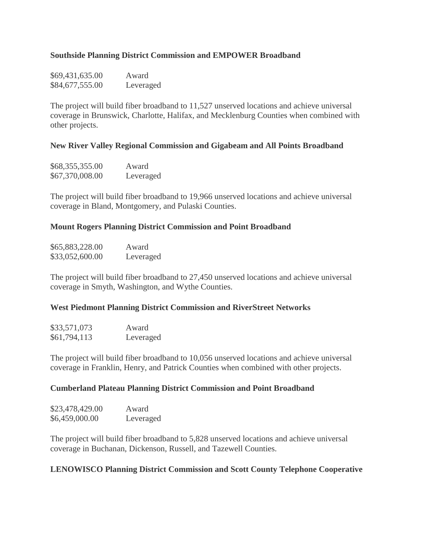# **Southside Planning District Commission and EMPOWER Broadband**

| \$69,431,635.00 | Award     |
|-----------------|-----------|
| \$84,677,555.00 | Leveraged |

The project will build fiber broadband to 11,527 unserved locations and achieve universal coverage in Brunswick, Charlotte, Halifax, and Mecklenburg Counties when combined with other projects.

# **New River Valley Regional Commission and Gigabeam and All Points Broadband**

| \$68,355,355.00 | Award     |
|-----------------|-----------|
| \$67,370,008.00 | Leveraged |

The project will build fiber broadband to 19,966 unserved locations and achieve universal coverage in Bland, Montgomery, and Pulaski Counties.

# **Mount Rogers Planning District Commission and Point Broadband**

| \$65,883,228.00 | Award     |
|-----------------|-----------|
| \$33,052,600.00 | Leveraged |

The project will build fiber broadband to 27,450 unserved locations and achieve universal coverage in Smyth, Washington, and Wythe Counties.

# **West Piedmont Planning District Commission and RiverStreet Networks**

| \$33,571,073 | Award     |
|--------------|-----------|
| \$61,794,113 | Leveraged |

The project will build fiber broadband to 10,056 unserved locations and achieve universal coverage in Franklin, Henry, and Patrick Counties when combined with other projects.

# **Cumberland Plateau Planning District Commission and Point Broadband**

| \$23,478,429.00 | Award     |
|-----------------|-----------|
| \$6,459,000.00  | Leveraged |

The project will build fiber broadband to 5,828 unserved locations and achieve universal coverage in Buchanan, Dickenson, Russell, and Tazewell Counties.

# **LENOWISCO Planning District Commission and Scott County Telephone Cooperative**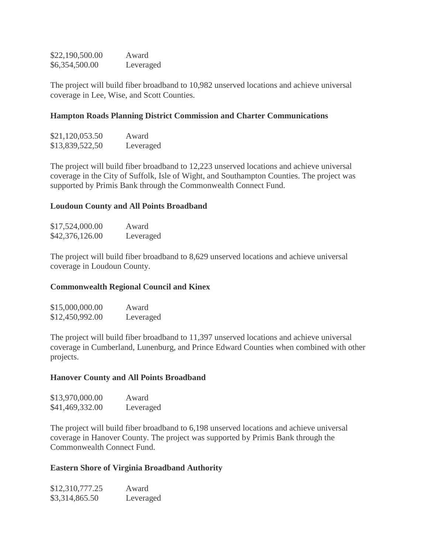| \$22,190,500.00 | Award     |
|-----------------|-----------|
| \$6,354,500.00  | Leveraged |

The project will build fiber broadband to 10,982 unserved locations and achieve universal coverage in Lee, Wise, and Scott Counties.

## **Hampton Roads Planning District Commission and Charter Communications**

| \$21,120,053.50 | Award     |
|-----------------|-----------|
| \$13,839,522,50 | Leveraged |

The project will build fiber broadband to 12,223 unserved locations and achieve universal coverage in the City of Suffolk, Isle of Wight, and Southampton Counties. The project was supported by Primis Bank through the Commonwealth Connect Fund.

## **Loudoun County and All Points Broadband**

| \$17,524,000.00 | Award     |
|-----------------|-----------|
| \$42,376,126.00 | Leveraged |

The project will build fiber broadband to 8,629 unserved locations and achieve universal coverage in Loudoun County.

#### **Commonwealth Regional Council and Kinex**

| \$15,000,000.00 | Award     |
|-----------------|-----------|
| \$12,450,992.00 | Leveraged |

The project will build fiber broadband to 11,397 unserved locations and achieve universal coverage in Cumberland, Lunenburg, and Prince Edward Counties when combined with other projects.

#### **Hanover County and All Points Broadband**

| \$13,970,000.00 | Award     |
|-----------------|-----------|
| \$41,469,332.00 | Leveraged |

The project will build fiber broadband to 6,198 unserved locations and achieve universal coverage in Hanover County. The project was supported by Primis Bank through the Commonwealth Connect Fund.

## **Eastern Shore of Virginia Broadband Authority**

| \$12,310,777.25 | Award     |
|-----------------|-----------|
| \$3,314,865.50  | Leveraged |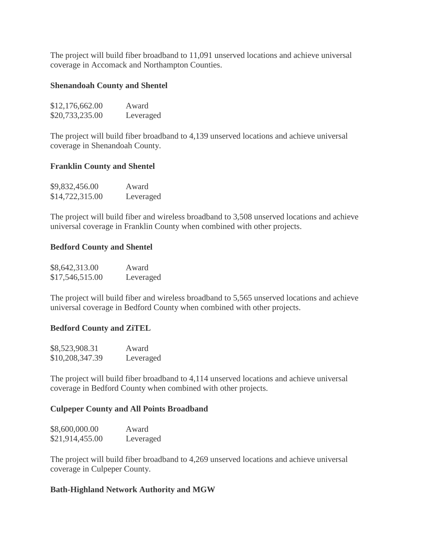The project will build fiber broadband to 11,091 unserved locations and achieve universal coverage in Accomack and Northampton Counties.

## **Shenandoah County and Shentel**

| \$12,176,662.00 | Award     |
|-----------------|-----------|
| \$20,733,235.00 | Leveraged |

The project will build fiber broadband to 4,139 unserved locations and achieve universal coverage in Shenandoah County.

## **Franklin County and Shentel**

| \$9,832,456.00  | Award     |
|-----------------|-----------|
| \$14,722,315.00 | Leveraged |

The project will build fiber and wireless broadband to 3,508 unserved locations and achieve universal coverage in Franklin County when combined with other projects.

## **Bedford County and Shentel**

| \$8,642,313.00  | Award     |
|-----------------|-----------|
| \$17,546,515.00 | Leveraged |

The project will build fiber and wireless broadband to 5,565 unserved locations and achieve universal coverage in Bedford County when combined with other projects.

#### **Bedford County and ZiTEL**

| \$8,523,908.31  | Award     |
|-----------------|-----------|
| \$10,208,347.39 | Leveraged |

The project will build fiber broadband to 4,114 unserved locations and achieve universal coverage in Bedford County when combined with other projects.

# **Culpeper County and All Points Broadband**

| \$8,600,000.00  | Award     |
|-----------------|-----------|
| \$21,914,455.00 | Leveraged |

The project will build fiber broadband to 4,269 unserved locations and achieve universal coverage in Culpeper County.

#### **Bath-Highland Network Authority and MGW**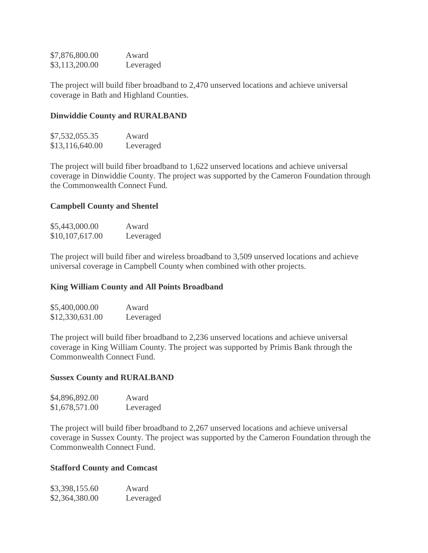| \$7,876,800.00 | Award     |
|----------------|-----------|
| \$3,113,200.00 | Leveraged |

The project will build fiber broadband to 2,470 unserved locations and achieve universal coverage in Bath and Highland Counties.

#### **Dinwiddie County and RURALBAND**

| \$7,532,055.35  | Award     |
|-----------------|-----------|
| \$13,116,640.00 | Leveraged |

The project will build fiber broadband to 1,622 unserved locations and achieve universal coverage in Dinwiddie County. The project was supported by the Cameron Foundation through the Commonwealth Connect Fund.

# **Campbell County and Shentel**

| \$5,443,000.00  | Award     |
|-----------------|-----------|
| \$10,107,617.00 | Leveraged |

The project will build fiber and wireless broadband to 3,509 unserved locations and achieve universal coverage in Campbell County when combined with other projects.

#### **King William County and All Points Broadband**

| \$5,400,000.00  | Award     |
|-----------------|-----------|
| \$12,330,631.00 | Leveraged |

The project will build fiber broadband to 2,236 unserved locations and achieve universal coverage in King William County. The project was supported by Primis Bank through the Commonwealth Connect Fund.

#### **Sussex County and RURALBAND**

| \$4,896,892.00 | Award     |
|----------------|-----------|
| \$1,678,571.00 | Leveraged |

The project will build fiber broadband to 2,267 unserved locations and achieve universal coverage in Sussex County. The project was supported by the Cameron Foundation through the Commonwealth Connect Fund.

#### **Stafford County and Comcast**

| \$3,398,155.60 | Award     |
|----------------|-----------|
| \$2,364,380.00 | Leveraged |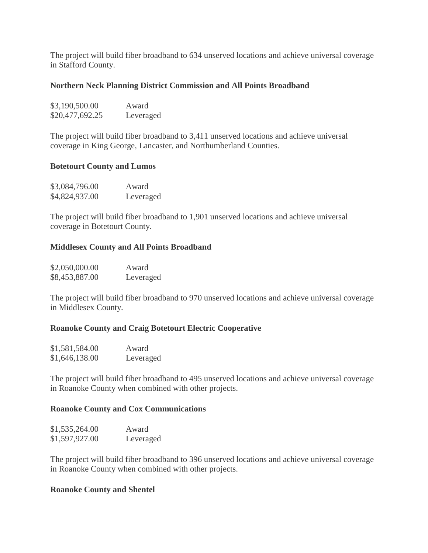The project will build fiber broadband to 634 unserved locations and achieve universal coverage in Stafford County.

# **Northern Neck Planning District Commission and All Points Broadband**

| \$3,190,500.00  | Award     |
|-----------------|-----------|
| \$20,477,692.25 | Leveraged |

The project will build fiber broadband to 3,411 unserved locations and achieve universal coverage in King George, Lancaster, and Northumberland Counties.

# **Botetourt County and Lumos**

| \$3,084,796.00 | Award     |
|----------------|-----------|
| \$4,824,937.00 | Leveraged |

The project will build fiber broadband to 1,901 unserved locations and achieve universal coverage in Botetourt County.

# **Middlesex County and All Points Broadband**

| \$2,050,000.00 | Award     |
|----------------|-----------|
| \$8,453,887.00 | Leveraged |

The project will build fiber broadband to 970 unserved locations and achieve universal coverage in Middlesex County.

# **Roanoke County and Craig Botetourt Electric Cooperative**

| \$1,581,584.00 | Award     |
|----------------|-----------|
| \$1,646,138.00 | Leveraged |

The project will build fiber broadband to 495 unserved locations and achieve universal coverage in Roanoke County when combined with other projects.

# **Roanoke County and Cox Communications**

| \$1,535,264.00 | Award     |
|----------------|-----------|
| \$1,597,927.00 | Leveraged |

The project will build fiber broadband to 396 unserved locations and achieve universal coverage in Roanoke County when combined with other projects.

# **Roanoke County and Shentel**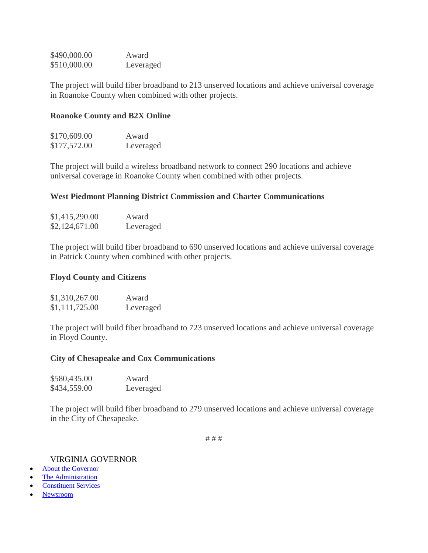| \$490,000.00 | Award     |
|--------------|-----------|
| \$510,000.00 | Leveraged |

The project will build fiber broadband to 213 unserved locations and achieve universal coverage in Roanoke County when combined with other projects.

#### **Roanoke County and B2X Online**

| \$170,609.00 | Award     |
|--------------|-----------|
| \$177,572.00 | Leveraged |

The project will build a wireless broadband network to connect 290 locations and achieve universal coverage in Roanoke County when combined with other projects.

## **West Piedmont Planning District Commission and Charter Communications**

| \$1,415,290.00 | Award     |
|----------------|-----------|
| \$2,124,671.00 | Leveraged |

The project will build fiber broadband to 690 unserved locations and achieve universal coverage in Patrick County when combined with other projects.

#### **Floyd County and Citizens**

| \$1,310,267.00 | Award     |
|----------------|-----------|
| \$1,111,725.00 | Leveraged |

The project will build fiber broadband to 723 unserved locations and achieve universal coverage in Floyd County.

#### **City of Chesapeake and Cox Communications**

| \$580,435.00 | Award     |
|--------------|-----------|
| \$434,559.00 | Leveraged |

The project will build fiber broadband to 279 unserved locations and achieve universal coverage in the City of Chesapeake.

# # #

#### VIRGINIA GOVERNOR

- [About the Governor](https://www.governor.virginia.gov/about-the-governor/)
- [The Administration](https://www.governor.virginia.gov/the-administration/)
- [Constituent Services](https://www.governor.virginia.gov/constituent-services/)
- [Newsroom](https://www.governor.virginia.gov/newsroom/)